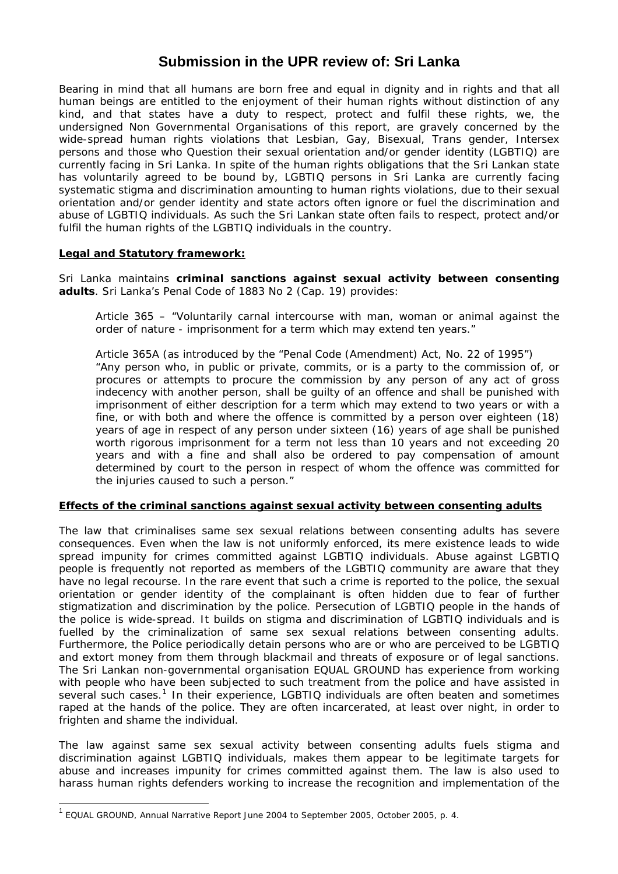# **Submission in the UPR review of: Sri Lanka**

Bearing in mind that all humans are born free and equal in dignity and in rights and that all human beings are entitled to the enjoyment of their human rights without distinction of any kind, and that states have a duty to respect, protect and fulfil these rights, we, the undersigned Non Governmental Organisations of this report, are gravely concerned by the wide-spread human rights violations that Lesbian, Gay, Bisexual, Trans gender, Intersex persons and those who Question their sexual orientation and/or gender identity (LGBTIQ) are currently facing in Sri Lanka. In spite of the human rights obligations that the Sri Lankan state has voluntarily agreed to be bound by, LGBTIQ persons in Sri Lanka are currently facing systematic stigma and discrimination amounting to human rights violations, due to their sexual orientation and/or gender identity and state actors often ignore or fuel the discrimination and abuse of LGBTIQ individuals. As such the Sri Lankan state often fails to respect, protect and/or fulfil the human rights of the LGBTIQ individuals in the country.

#### **Legal and Statutory framework:**

Sri Lanka maintains **criminal sanctions against sexual activity between consenting adults**. Sri Lanka's Penal Code of 1883 No 2 (Cap. 19) provides:

Article 365 – "Voluntarily carnal intercourse with man, woman or animal against the order of nature - imprisonment for a term which may extend ten years."

Article 365A (as introduced by the "Penal Code (Amendment) Act, No. 22 of 1995") "Any person who, in public or private, commits, or is a party to the commission of, or procures or attempts to procure the commission by any person of any act of gross indecency with another person, shall be guilty of an offence and shall be punished with imprisonment of either description for a term which may extend to two years or with a fine, or with both and where the offence is committed by a person over eighteen (18) years of age in respect of any person under sixteen (16) years of age shall be punished worth rigorous imprisonment for a term not less than 10 years and not exceeding 20 years and with a fine and shall also be ordered to pay compensation of amount determined by court to the person in respect of whom the offence was committed for the injuries caused to such a person."

#### **Effects of the criminal sanctions against sexual activity between consenting adults**

The law that criminalises same sex sexual relations between consenting adults has severe consequences. Even when the law is not uniformly enforced, its mere existence leads to wide spread impunity for crimes committed against LGBTIQ individuals. Abuse against LGBTIQ people is frequently not reported as members of the LGBTIQ community are aware that they have no legal recourse. In the rare event that such a crime is reported to the police, the sexual orientation or gender identity of the complainant is often hidden due to fear of further stigmatization and discrimination by the police. Persecution of LGBTIQ people in the hands of the police is wide-spread. It builds on stigma and discrimination of LGBTIQ individuals and is fuelled by the criminalization of same sex sexual relations between consenting adults. Furthermore, the Police periodically detain persons who are or who are perceived to be LGBTIQ and extort money from them through blackmail and threats of exposure or of legal sanctions. The Sri Lankan non-governmental organisation EQUAL GROUND has experience from working with people who have been subjected to such treatment from the police and have assisted in several such cases.<sup>[1](#page-0-0)</sup> In their experience, LGBTIQ individuals are often beaten and sometimes raped at the hands of the police. They are often incarcerated, at least over night, in order to frighten and shame the individual.

The law against same sex sexual activity between consenting adults fuels stigma and discrimination against LGBTIQ individuals, makes them appear to be legitimate targets for abuse and increases impunity for crimes committed against them. The law is also used to harass human rights defenders working to increase the recognition and implementation of the

 $\overline{a}$ 

<span id="page-0-0"></span><sup>1</sup> EQUAL GROUND, *Annual Narrative Report June 2004 to September 2005*, October 2005, p. 4.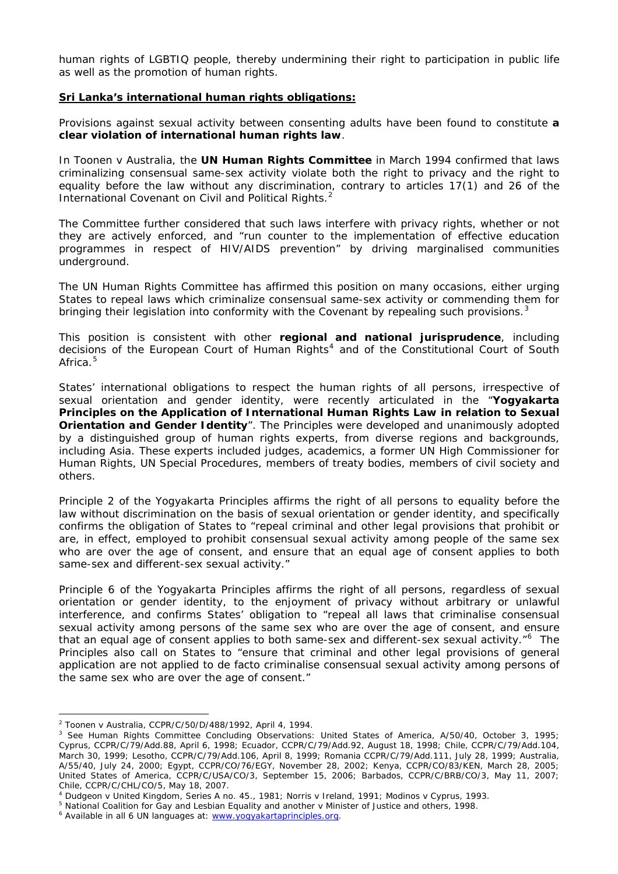human rights of LGBTIQ people, thereby undermining their right to participation in public life as well as the promotion of human rights.

#### **Sri Lanka's international human rights obligations:**

Provisions against sexual activity between consenting adults have been found to constitute **a clear violation of international human rights law**.

In *Toonen v Australia*, the **UN Human Rights Committee** in March 1994 confirmed that laws criminalizing consensual same-sex activity violate both the right to privacy and the right to equality before the law without any discrimination, contrary to articles 17(1) and 26 of the International Covenant on Civil and Political Rights.<sup>[2](#page-1-0)</sup>

The Committee further considered that such laws interfere with privacy rights, whether or not they are actively enforced, and "run counter to the implementation of effective education programmes in respect of HIV/AIDS prevention" by driving marginalised communities underground.

The UN Human Rights Committee has affirmed this position on many occasions, either urging States to repeal laws which criminalize consensual same-sex activity or commending them for bringing their legislation into conformity with the Covenant by repealing such provisions.<sup>[3](#page-1-1)</sup>

This position is consistent with other **regional and national jurisprudence**, including decisions of the European Court of Human Rights<sup>[4](#page-1-2)</sup> and of the Constitutional Court of South Africa $5$ 

States' international obligations to respect the human rights of all persons, irrespective of sexual orientation and gender identity, were recently articulated in the "*Yogyakarta Principles on the Application of International Human Rights Law in relation to Sexual*  **Orientation and Gender Identity**". The Principles were developed and unanimously adopted by a distinguished group of human rights experts, from diverse regions and backgrounds, including Asia. These experts included judges, academics, a former UN High Commissioner for Human Rights, UN Special Procedures, members of treaty bodies, members of civil society and others.

Principle 2 of the Yogyakarta Principles affirms the right of all persons to equality before the law without discrimination on the basis of sexual orientation or gender identity, and specifically confirms the obligation of States to "repeal criminal and other legal provisions that prohibit or are, in effect, employed to prohibit consensual sexual activity among people of the same sex who are over the age of consent, and ensure that an equal age of consent applies to both same-sex and different-sex sexual activity."

Principle 6 of the Yogyakarta Principles affirms the right of all persons, regardless of sexual orientation or gender identity, to the enjoyment of privacy without arbitrary or unlawful interference, and confirms States' obligation to "repeal all laws that criminalise consensual sexual activity among persons of the same sex who are over the age of consent, and ensure that an equal age of consent applies to both same-sex and different-sex sexual activity."<sup>[6](#page-1-4)</sup> The Principles also call on States to "ensure that criminal and other legal provisions of general application are not applied to *de facto* criminalise consensual sexual activity among persons of the same sex who are over the age of consent."

 $\overline{a}$ <sup>2</sup> *Toonen* v *Australia*, CCPR/C/50/D/488/1992, April 4, 1994. 3

<span id="page-1-1"></span><span id="page-1-0"></span>See Human Rights Committee Concluding Observations: United States of America, A/50/40, October 3, 1995; Cyprus, CCPR/C/79/Add.88, April 6, 1998; Ecuador, CCPR/C/79/Add.92, August 18, 1998; Chile, CCPR/C/79/Add.104, March 30, 1999; Lesotho, CCPR/C/79/Add.106, April 8, 1999; Romania CCPR/C/79/Add.111, July 28, 1999; Australia, A/55/40, July 24, 2000; Egypt, CCPR/CO/76/EGY, November 28, 2002; Kenya, CCPR/CO/83/KEN, March 28, 2005; United States of America, CCPR/C/USA/CO/3, September 15, 2006; Barbados, CCPR/C/BRB/CO/3, May 11, 2007; Chile, CCPR/C/CHL/CO/5, May 18, 2007.

<span id="page-1-2"></span><sup>&</sup>lt;sup>4</sup> Dudgeon v United Kingdom, Series A no. 45., 1981; Norris v Ireland, 1991; Modinos v Cyprus, 1993.<br><sup>5</sup> National Coalition for Gay and Lesbian Equality and another v Minister of Justice and others, 1998.

<span id="page-1-4"></span><span id="page-1-3"></span><sup>&</sup>lt;sup>6</sup> Available in all 6 UN languages at: [www.yogyakartaprinciples.org](http://www.yogyakartaprinciples.org/).